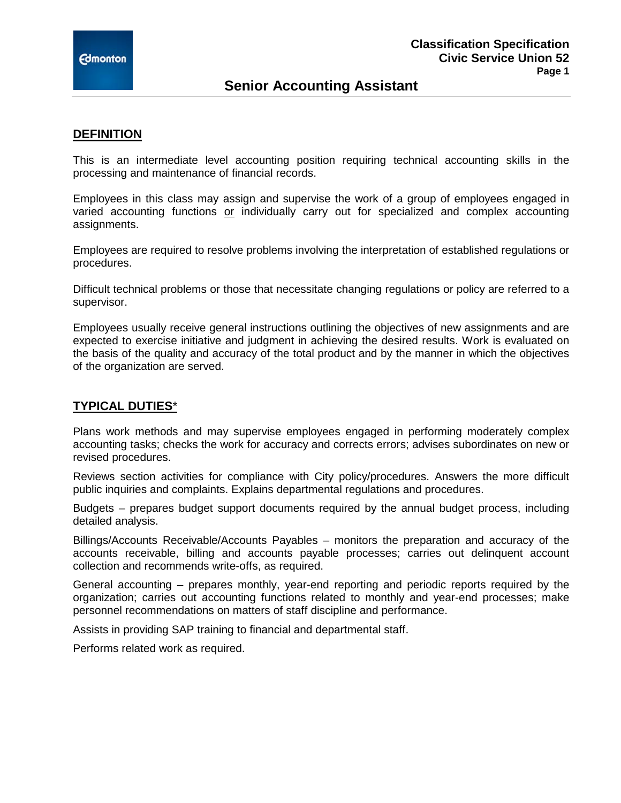## **Senior Accounting Assistant**

#### **DEFINITION**

This is an intermediate level accounting position requiring technical accounting skills in the processing and maintenance of financial records.

Employees in this class may assign and supervise the work of a group of employees engaged in varied accounting functions or individually carry out for specialized and complex accounting assignments.

Employees are required to resolve problems involving the interpretation of established regulations or procedures.

Difficult technical problems or those that necessitate changing regulations or policy are referred to a supervisor.

Employees usually receive general instructions outlining the objectives of new assignments and are expected to exercise initiative and judgment in achieving the desired results. Work is evaluated on the basis of the quality and accuracy of the total product and by the manner in which the objectives of the organization are served.

## **TYPICAL DUTIES**\*

Plans work methods and may supervise employees engaged in performing moderately complex accounting tasks; checks the work for accuracy and corrects errors; advises subordinates on new or revised procedures.

Reviews section activities for compliance with City policy/procedures. Answers the more difficult public inquiries and complaints. Explains departmental regulations and procedures.

Budgets – prepares budget support documents required by the annual budget process, including detailed analysis.

Billings/Accounts Receivable/Accounts Payables – monitors the preparation and accuracy of the accounts receivable, billing and accounts payable processes; carries out delinquent account collection and recommends write-offs, as required.

General accounting – prepares monthly, year-end reporting and periodic reports required by the organization; carries out accounting functions related to monthly and year-end processes; make personnel recommendations on matters of staff discipline and performance.

Assists in providing SAP training to financial and departmental staff.

Performs related work as required.